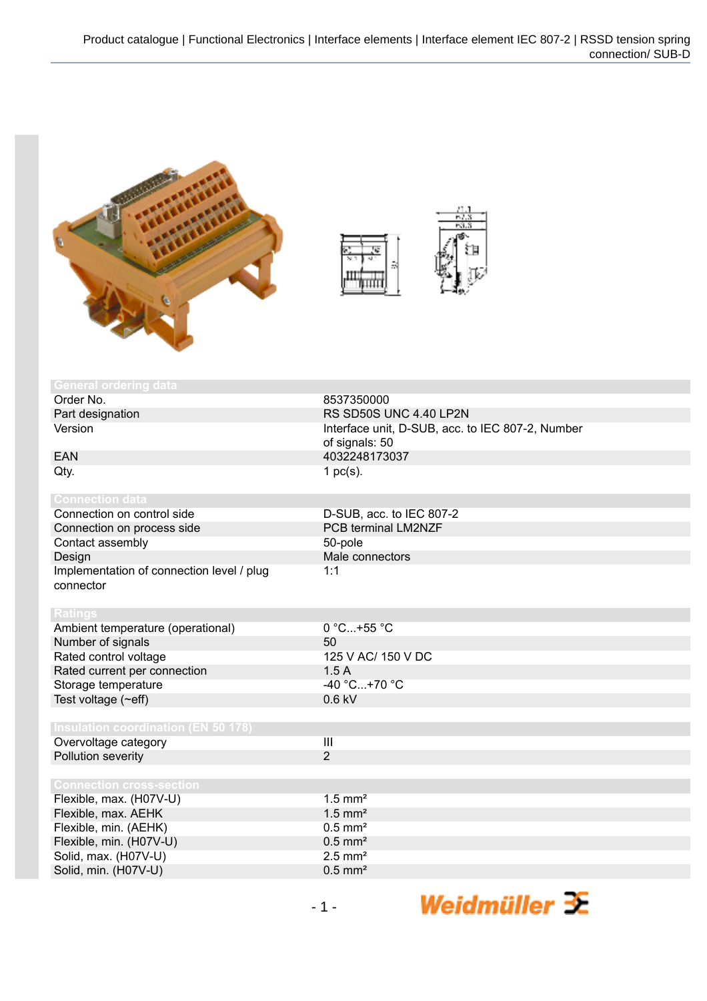



| <b>General ordering data</b>               |                                                  |
|--------------------------------------------|--------------------------------------------------|
| Order No.                                  |                                                  |
|                                            | 8537350000                                       |
| Part designation                           | RS SD50S UNC 4.40 LP2N                           |
| Version                                    | Interface unit, D-SUB, acc. to IEC 807-2, Number |
|                                            | of signals: 50                                   |
| <b>EAN</b>                                 | 4032248173037                                    |
| Qty.                                       | 1 $pc(s)$ .                                      |
|                                            |                                                  |
| <b>Connection data</b>                     |                                                  |
| Connection on control side                 | D-SUB, acc. to IEC 807-2                         |
| Connection on process side                 | PCB terminal LM2NZF                              |
| Contact assembly                           | 50-pole                                          |
| Design                                     | Male connectors                                  |
| Implementation of connection level / plug  | 1:1                                              |
| connector                                  |                                                  |
|                                            |                                                  |
| <b>Ratings</b>                             |                                                  |
| Ambient temperature (operational)          | $0 °C+55 °C$                                     |
| Number of signals                          | 50                                               |
| Rated control voltage                      | 125 V AC/ 150 V DC                               |
| Rated current per connection               | 1.5A                                             |
| Storage temperature                        | $-40 °C+70 °C$                                   |
| Test voltage (~eff)                        | $0.6$ kV                                         |
|                                            |                                                  |
| <b>Insulation coordination (EN 50 178)</b> |                                                  |
| Overvoltage category                       | III                                              |
| Pollution severity                         | $\overline{2}$                                   |
|                                            |                                                  |
| <b>Connection cross-section</b>            |                                                  |
| Flexible, max. (H07V-U)                    | $1.5$ mm <sup>2</sup>                            |
| Flexible, max. AEHK                        | $1.5$ mm <sup>2</sup>                            |
| Flexible, min. (AEHK)                      | $0.5$ mm <sup>2</sup>                            |
| Flexible, min. (H07V-U)                    | $0.5$ mm <sup>2</sup>                            |
| Solid, max. (H07V-U)                       | $2.5$ mm <sup>2</sup>                            |
| Solid, min. (H07V-U)                       | $0.5$ mm <sup>2</sup>                            |

Weidmüller  $\mathcal{\mathcal{F}}$